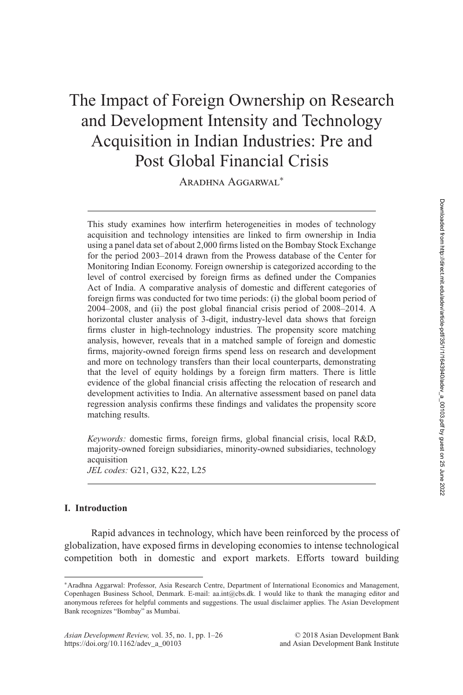# The Impact of Foreign Ownership on Research and Development Intensity and Technology Acquisition in Indian Industries: Pre and Post Global Financial Crisis

Aradhna Aggarwal<sup>∗</sup>

This study examines how interfirm heterogeneities in modes of technology acquisition and technology intensities are linked to firm ownership in India using a panel data set of about 2,000 firms listed on the Bombay Stock Exchange for the period 2003–2014 drawn from the Prowess database of the Center for Monitoring Indian Economy. Foreign ownership is categorized according to the level of control exercised by foreign firms as defined under the Companies Act of India. A comparative analysis of domestic and different categories of foreign firms was conducted for two time periods: (i) the global boom period of 2004–2008, and (ii) the post global financial crisis period of 2008–2014. A horizontal cluster analysis of 3-digit, industry-level data shows that foreign firms cluster in high-technology industries. The propensity score matching analysis, however, reveals that in a matched sample of foreign and domestic firms, majority-owned foreign firms spend less on research and development and more on technology transfers than their local counterparts, demonstrating that the level of equity holdings by a foreign firm matters. There is little evidence of the global financial crisis affecting the relocation of research and development activities to India. An alternative assessment based on panel data regression analysis confirms these findings and validates the propensity score matching results.

*Keywords:* domestic firms, foreign firms, global financial crisis, local R&D, majority-owned foreign subsidiaries, minority-owned subsidiaries, technology acquisition

*JEL codes:* G21, G32, K22, L25

#### **I. Introduction**

Rapid advances in technology, which have been reinforced by the process of globalization, have exposed firms in developing economies to intense technological competition both in domestic and export markets. Efforts toward building

<sup>∗</sup>Aradhna Aggarwal: Professor, Asia Research Centre, Department of International Economics and Management, Copenhagen Business School, Denmark. E-mail: aa.int@cbs.dk. I would like to thank the managing editor and anonymous referees for helpful comments and suggestions. The usual disclaimer applies. The Asian Development Bank recognizes "Bombay" as Mumbai.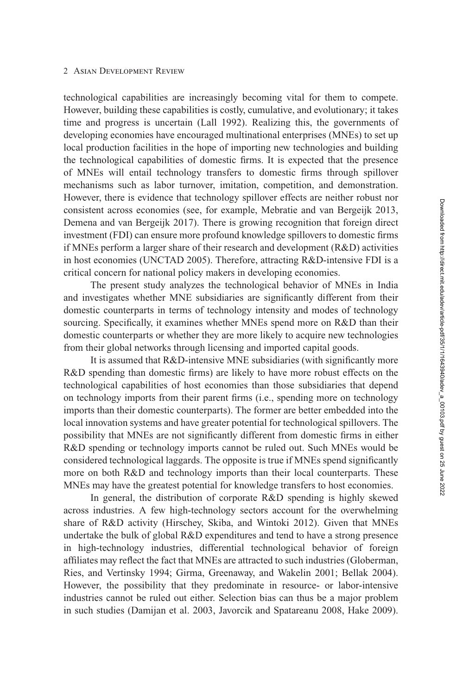technological capabilities are increasingly becoming vital for them to compete. However, building these capabilities is costly, cumulative, and evolutionary; it takes time and progress is uncertain (Lall [1992\)](#page-24-0). Realizing this, the governments of developing economies have encouraged multinational enterprises (MNEs) to set up local production facilities in the hope of importing new technologies and building the technological capabilities of domestic firms. It is expected that the presence of MNEs will entail technology transfers to domestic firms through spillover mechanisms such as labor turnover, imitation, competition, and demonstration. However, there is evidence that technology spillover effects are neither robust nor consistent across economies (see, for example, Mebratie and van Bergeijk [2013,](#page-24-0) Demena and van Bergeijk [2017\)](#page-23-0). There is growing recognition that foreign direct investment (FDI) can ensure more profound knowledge spillovers to domestic firms if MNEs perform a larger share of their research and development (R&D) activities in host economies (UNCTAD [2005\)](#page-25-0). Therefore, attracting R&D-intensive FDI is a critical concern for national policy makers in developing economies.

The present study analyzes the technological behavior of MNEs in India and investigates whether MNE subsidiaries are significantly different from their domestic counterparts in terms of technology intensity and modes of technology sourcing. Specifically, it examines whether MNEs spend more on R&D than their domestic counterparts or whether they are more likely to acquire new technologies from their global networks through licensing and imported capital goods.

It is assumed that R&D-intensive MNE subsidiaries (with significantly more R&D spending than domestic firms) are likely to have more robust effects on the technological capabilities of host economies than those subsidiaries that depend on technology imports from their parent firms (i.e., spending more on technology imports than their domestic counterparts). The former are better embedded into the local innovation systems and have greater potential for technological spillovers. The possibility that MNEs are not significantly different from domestic firms in either R&D spending or technology imports cannot be ruled out. Such MNEs would be considered technological laggards. The opposite is true if MNEs spend significantly more on both R&D and technology imports than their local counterparts. These MNEs may have the greatest potential for knowledge transfers to host economies.

In general, the distribution of corporate R&D spending is highly skewed across industries. A few high-technology sectors account for the overwhelming share of R&D activity (Hirschey, Skiba, and Wintoki [2012\)](#page-24-0). Given that MNEs undertake the bulk of global R&D expenditures and tend to have a strong presence in high-technology industries, differential technological behavior of foreign affiliates may reflect the fact that MNEs are attracted to such industries (Globerman, Ries, and Vertinsky [1994;](#page-24-0) Girma, Greenaway, and Wakelin [2001;](#page-24-0) Bellak [2004\)](#page-22-0). However, the possibility that they predominate in resource- or labor-intensive industries cannot be ruled out either. Selection bias can thus be a major problem in such studies (Damijan et al. [2003,](#page-23-0) Javorcik and Spatareanu [2008,](#page-24-0) Hake [2009\)](#page-24-0).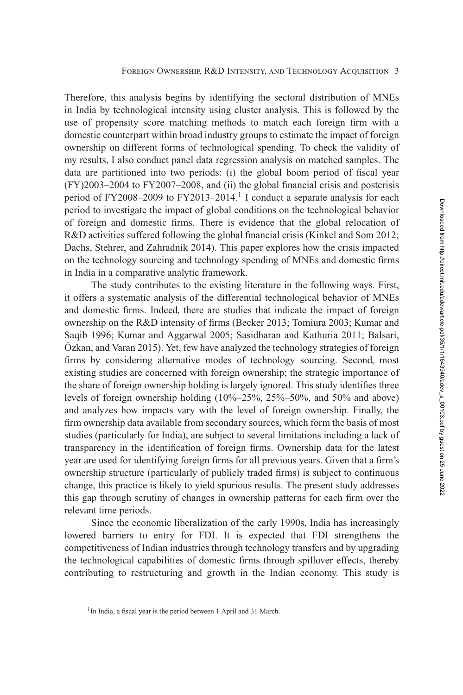Therefore, this analysis begins by identifying the sectoral distribution of MNEs in India by technological intensity using cluster analysis. This is followed by the use of propensity score matching methods to match each foreign firm with a domestic counterpart within broad industry groups to estimate the impact of foreign ownership on different forms of technological spending. To check the validity of my results, I also conduct panel data regression analysis on matched samples. The data are partitioned into two periods: (i) the global boom period of fiscal year (FY)2003–2004 to FY2007–2008, and (ii) the global financial crisis and postcrisis period of FY2008–2009 to FY2013–2014.<sup>1</sup> I conduct a separate analysis for each period to investigate the impact of global conditions on the technological behavior of foreign and domestic firms. There is evidence that the global relocation of R&D activities suffered following the global financial crisis (Kinkel and Som [2012;](#page-24-0) Dachs, Stehrer, and Zahradnik [2014\)](#page-23-0). This paper explores how the crisis impacted on the technology sourcing and technology spending of MNEs and domestic firms in India in a comparative analytic framework.

The study contributes to the existing literature in the following ways. First, it offers a systematic analysis of the differential technological behavior of MNEs and domestic firms. Indeed, there are studies that indicate the impact of foreign ownership on the R&D intensity of firms (Becker [2013;](#page-22-0) Tomiura [2003;](#page-25-0) Kumar and Saqib [1996;](#page-24-0) Kumar and Aggarwal [2005;](#page-24-0) Sasidharan and Kathuria [2011;](#page-25-0) Balsari, Özkan, and Varan [2015\)](#page-22-0). Yet, few have analyzed the technology strategies of foreign firms by considering alternative modes of technology sourcing. Second, most existing studies are concerned with foreign ownership; the strategic importance of the share of foreign ownership holding is largely ignored. This study identifies three levels of foreign ownership holding (10%–25%, 25%–50%, and 50% and above) and analyzes how impacts vary with the level of foreign ownership. Finally, the firm ownership data available from secondary sources, which form the basis of most studies (particularly for India), are subject to several limitations including a lack of transparency in the identification of foreign firms. Ownership data for the latest year are used for identifying foreign firms for all previous years. Given that a firm's ownership structure (particularly of publicly traded firms) is subject to continuous change, this practice is likely to yield spurious results. The present study addresses this gap through scrutiny of changes in ownership patterns for each firm over the relevant time periods.

Since the economic liberalization of the early 1990s, India has increasingly lowered barriers to entry for FDI. It is expected that FDI strengthens the competitiveness of Indian industries through technology transfers and by upgrading the technological capabilities of domestic firms through spillover effects, thereby contributing to restructuring and growth in the Indian economy. This study is

<sup>&</sup>lt;sup>1</sup>In India, a fiscal year is the period between 1 April and 31 March.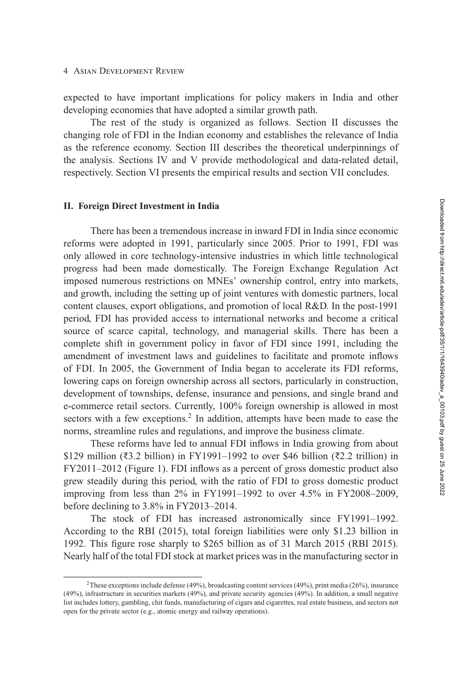expected to have important implications for policy makers in India and other developing economies that have adopted a similar growth path.

The rest of the study is organized as follows. Section II discusses the changing role of FDI in the Indian economy and establishes the relevance of India as the reference economy. [Section III](#page-5-0) describes the theoretical underpinnings of the analysis. [Sections IV](#page-8-0) and [V](#page-11-0) provide methodological and data-related detail, respectively. [Section VI](#page-12-0) presents the empirical results and [section VII](#page-21-0) concludes.

#### **II. Foreign Direct Investment in India**

There has been a tremendous increase in inward FDI in India since economic reforms were adopted in 1991, particularly since 2005. Prior to 1991, FDI was only allowed in core technology-intensive industries in which little technological progress had been made domestically. The Foreign Exchange Regulation Act imposed numerous restrictions on MNEs' ownership control, entry into markets, and growth, including the setting up of joint ventures with domestic partners, local content clauses, export obligations, and promotion of local R&D. In the post-1991 period, FDI has provided access to international networks and become a critical source of scarce capital, technology, and managerial skills. There has been a complete shift in government policy in favor of FDI since 1991, including the amendment of investment laws and guidelines to facilitate and promote inflows of FDI. In 2005, the Government of India began to accelerate its FDI reforms, lowering caps on foreign ownership across all sectors, particularly in construction, development of townships, defense, insurance and pensions, and single brand and e-commerce retail sectors. Currently, 100% foreign ownership is allowed in most sectors with a few exceptions.<sup>2</sup> In addition, attempts have been made to ease the norms, streamline rules and regulations, and improve the business climate.

These reforms have led to annual FDI inflows in India growing from about \$129 million (₹3.2 billion) in FY1991–1992 to over \$46 billion (₹2.2 trillion) in FY2011–2012 (Figure [1\)](#page-4-0). FDI inflows as a percent of gross domestic product also grew steadily during this period, with the ratio of FDI to gross domestic product improving from less than 2% in FY1991–1992 to over 4.5% in FY2008–2009, before declining to 3.8% in FY2013–2014.

The stock of FDI has increased astronomically since FY1991–1992. According to the RBI (2015), total foreign liabilities were only \$1.23 billion in 1992. This figure rose sharply to \$265 billion as of 31 March 2015 (RBI 2015). Nearly half of the total FDI stock at market prices was in the manufacturing sector in

<sup>2</sup>These exceptions include defense (49%), broadcasting content services (49%), print media (26%), insurance (49%), infrastructure in securities markets (49%), and private security agencies (49%). In addition, a small negative list includes lottery, gambling, chit funds, manufacturing of cigars and cigarettes, real estate business, and sectors not open for the private sector (e.g., atomic energy and railway operations).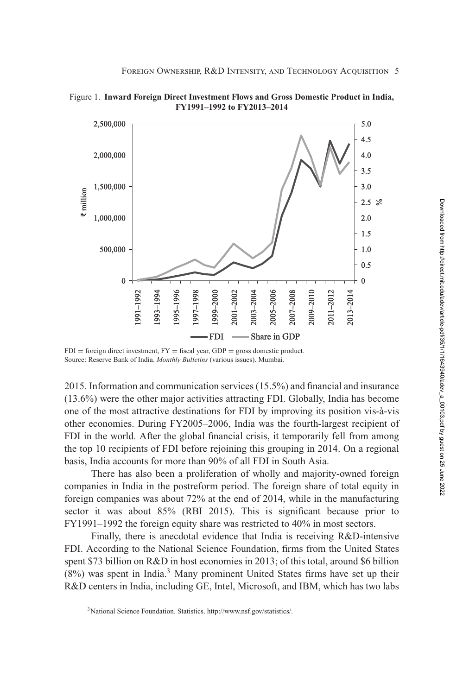

<span id="page-4-0"></span>Figure 1. **Inward Foreign Direct Investment Flows and Gross Domestic Product in India, FY1991–1992 to FY2013–2014**

 $FDI =$  foreign direct investment,  $FY =$  fiscal year,  $GDP =$  gross domestic product. Source: Reserve Bank of India. *Monthly Bulletins* (various issues). Mumbai.

2015. Information and communication services (15.5%) and financial and insurance (13.6%) were the other major activities attracting FDI. Globally, India has become one of the most attractive destinations for FDI by improving its position vis-à-vis other economies. During FY2005–2006, India was the fourth-largest recipient of FDI in the world. After the global financial crisis, it temporarily fell from among the top 10 recipients of FDI before rejoining this grouping in 2014. On a regional basis, India accounts for more than 90% of all FDI in South Asia.

There has also been a proliferation of wholly and majority-owned foreign companies in India in the postreform period. The foreign share of total equity in foreign companies was about 72% at the end of 2014, while in the manufacturing sector it was about 85% (RBI 2015). This is significant because prior to FY1991–1992 the foreign equity share was restricted to 40% in most sectors.

Finally, there is anecdotal evidence that India is receiving R&D-intensive FDI. According to the National Science Foundation, firms from the United States spent \$73 billion on R&D in host economies in 2013; of this total, around \$6 billion  $(8\%)$  was spent in India.<sup>3</sup> Many prominent United States firms have set up their R&D centers in India, including GE, Intel, Microsoft, and IBM, which has two labs

<sup>3</sup>National Science Foundation. Statistics. http://www.nsf.gov/statistics/.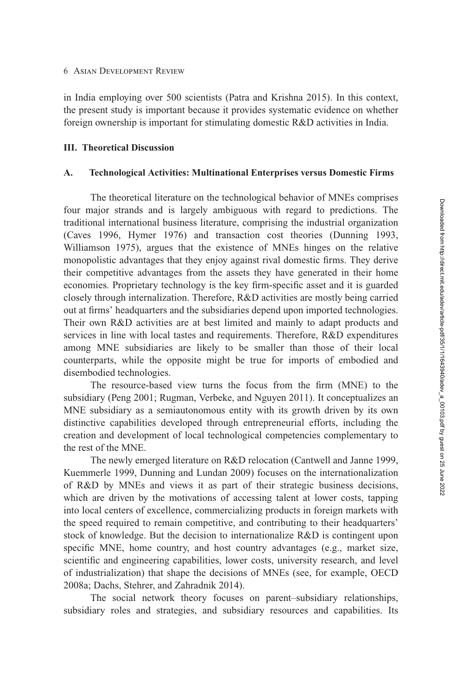<span id="page-5-0"></span>in India employing over 500 scientists (Patra and Krishna [2015\)](#page-25-0). In this context, the present study is important because it provides systematic evidence on whether foreign ownership is important for stimulating domestic R&D activities in India.

#### **III. Theoretical Discussion**

## **A. Technological Activities: Multinational Enterprises versus Domestic Firms**

The theoretical literature on the technological behavior of MNEs comprises four major strands and is largely ambiguous with regard to predictions. The traditional international business literature, comprising the industrial organization (Caves [1996,](#page-23-0) Hymer [1976\)](#page-24-0) and transaction cost theories (Dunning [1993,](#page-23-0) Williamson [1975\)](#page-25-0), argues that the existence of MNEs hinges on the relative monopolistic advantages that they enjoy against rival domestic firms. They derive their competitive advantages from the assets they have generated in their home economies. Proprietary technology is the key firm-specific asset and it is guarded closely through internalization. Therefore, R&D activities are mostly being carried out at firms' headquarters and the subsidiaries depend upon imported technologies. Their own R&D activities are at best limited and mainly to adapt products and services in line with local tastes and requirements. Therefore, R&D expenditures among MNE subsidiaries are likely to be smaller than those of their local counterparts, while the opposite might be true for imports of embodied and disembodied technologies.

The resource-based view turns the focus from the firm (MNE) to the subsidiary (Peng [2001;](#page-25-0) Rugman, Verbeke, and Nguyen [2011\)](#page-25-0). It conceptualizes an MNE subsidiary as a semiautonomous entity with its growth driven by its own distinctive capabilities developed through entrepreneurial efforts, including the creation and development of local technological competencies complementary to the rest of the MNE.

The newly emerged literature on R&D relocation (Cantwell and Janne [1999,](#page-23-0) Kuemmerle [1999,](#page-24-0) Dunning and Lundan [2009\)](#page-23-0) focuses on the internationalization of R&D by MNEs and views it as part of their strategic business decisions, which are driven by the motivations of accessing talent at lower costs, tapping into local centers of excellence, commercializing products in foreign markets with the speed required to remain competitive, and contributing to their headquarters' stock of knowledge. But the decision to internationalize R&D is contingent upon specific MNE, home country, and host country advantages (e.g., market size, scientific and engineering capabilities, lower costs, university research, and level of industrialization) that shape the decisions of MNEs (see, for example, OECD [2008a;](#page-24-0) Dachs, Stehrer, and Zahradnik [2014\)](#page-23-0).

The social network theory focuses on parent–subsidiary relationships, subsidiary roles and strategies, and subsidiary resources and capabilities. Its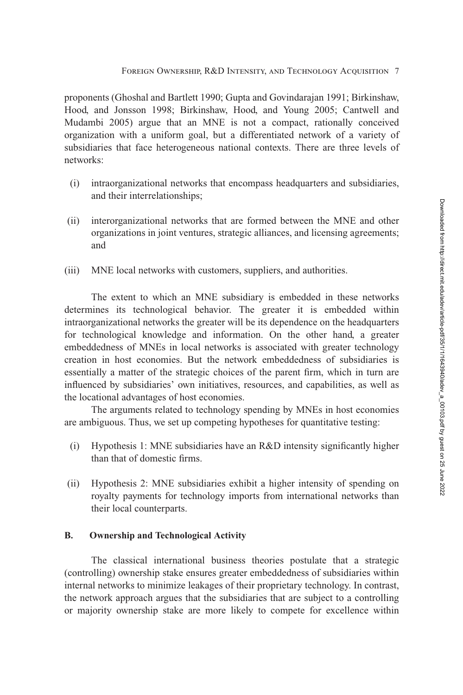proponents (Ghoshal and Bartlett [1990;](#page-24-0) Gupta and Govindarajan [1991;](#page-24-0) Birkinshaw, Hood, and Jonsson [1998;](#page-22-0) Birkinshaw, Hood, and Young [2005;](#page-23-0) Cantwell and Mudambi [2005\)](#page-23-0) argue that an MNE is not a compact, rationally conceived organization with a uniform goal, but a differentiated network of a variety of subsidiaries that face heterogeneous national contexts. There are three levels of networks:

- (i) intraorganizational networks that encompass headquarters and subsidiaries, and their interrelationships;
- (ii) interorganizational networks that are formed between the MNE and other organizations in joint ventures, strategic alliances, and licensing agreements; and
- (iii) MNE local networks with customers, suppliers, and authorities.

The extent to which an MNE subsidiary is embedded in these networks determines its technological behavior. The greater it is embedded within intraorganizational networks the greater will be its dependence on the headquarters for technological knowledge and information. On the other hand, a greater embeddedness of MNEs in local networks is associated with greater technology creation in host economies. But the network embeddedness of subsidiaries is essentially a matter of the strategic choices of the parent firm, which in turn are influenced by subsidiaries' own initiatives, resources, and capabilities, as well as the locational advantages of host economies.

The arguments related to technology spending by MNEs in host economies are ambiguous. Thus, we set up competing hypotheses for quantitative testing:

- (i) Hypothesis 1: MNE subsidiaries have an R&D intensity significantly higher than that of domestic firms.
- (ii) Hypothesis 2: MNE subsidiaries exhibit a higher intensity of spending on royalty payments for technology imports from international networks than their local counterparts.

## **B. Ownership and Technological Activity**

The classical international business theories postulate that a strategic (controlling) ownership stake ensures greater embeddedness of subsidiaries within internal networks to minimize leakages of their proprietary technology. In contrast, the network approach argues that the subsidiaries that are subject to a controlling or majority ownership stake are more likely to compete for excellence within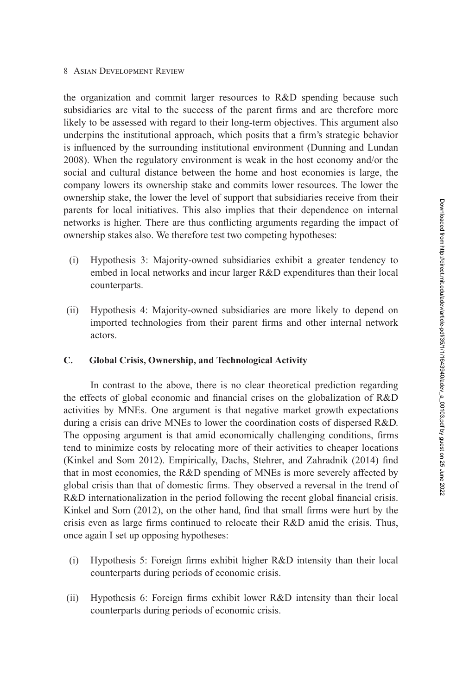the organization and commit larger resources to R&D spending because such subsidiaries are vital to the success of the parent firms and are therefore more likely to be assessed with regard to their long-term objectives. This argument also underpins the institutional approach, which posits that a firm's strategic behavior is influenced by the surrounding institutional environment (Dunning and Lundan [2008\)](#page-23-0). When the regulatory environment is weak in the host economy and/or the social and cultural distance between the home and host economies is large, the company lowers its ownership stake and commits lower resources. The lower the ownership stake, the lower the level of support that subsidiaries receive from their parents for local initiatives. This also implies that their dependence on internal networks is higher. There are thus conflicting arguments regarding the impact of ownership stakes also. We therefore test two competing hypotheses:

- (i) Hypothesis 3: Majority-owned subsidiaries exhibit a greater tendency to embed in local networks and incur larger R&D expenditures than their local counterparts.
- (ii) Hypothesis 4: Majority-owned subsidiaries are more likely to depend on imported technologies from their parent firms and other internal network actors.

# **C. Global Crisis, Ownership, and Technological Activity**

In contrast to the above, there is no clear theoretical prediction regarding the effects of global economic and financial crises on the globalization of R&D activities by MNEs. One argument is that negative market growth expectations during a crisis can drive MNEs to lower the coordination costs of dispersed R&D. The opposing argument is that amid economically challenging conditions, firms tend to minimize costs by relocating more of their activities to cheaper locations (Kinkel and Som [2012\)](#page-24-0). Empirically, Dachs, Stehrer, and Zahradnik [\(2014\)](#page-23-0) find that in most economies, the R&D spending of MNEs is more severely affected by global crisis than that of domestic firms. They observed a reversal in the trend of R&D internationalization in the period following the recent global financial crisis. Kinkel and Som [\(2012\)](#page-24-0), on the other hand, find that small firms were hurt by the crisis even as large firms continued to relocate their R&D amid the crisis. Thus, once again I set up opposing hypotheses:

- (i) Hypothesis 5: Foreign firms exhibit higher R&D intensity than their local counterparts during periods of economic crisis.
- (ii) Hypothesis 6: Foreign firms exhibit lower R&D intensity than their local counterparts during periods of economic crisis.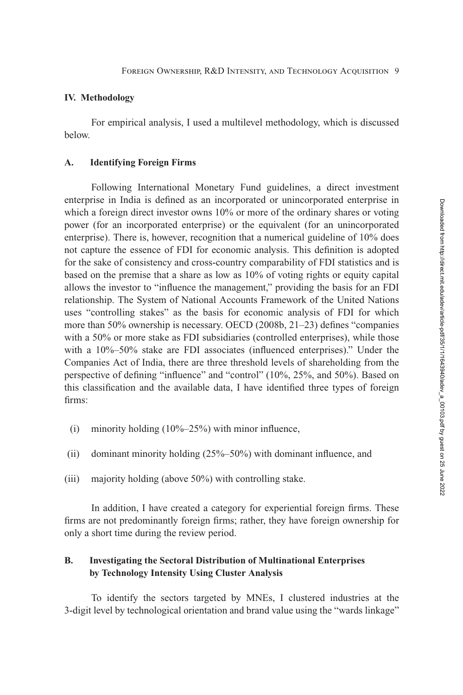#### <span id="page-8-0"></span>**IV. Methodology**

For empirical analysis, I used a multilevel methodology, which is discussed below.

## **A. Identifying Foreign Firms**

Following International Monetary Fund guidelines, a direct investment enterprise in India is defined as an incorporated or unincorporated enterprise in which a foreign direct investor owns 10% or more of the ordinary shares or voting power (for an incorporated enterprise) or the equivalent (for an unincorporated enterprise). There is, however, recognition that a numerical guideline of 10% does not capture the essence of FDI for economic analysis. This definition is adopted for the sake of consistency and cross-country comparability of FDI statistics and is based on the premise that a share as low as 10% of voting rights or equity capital allows the investor to "influence the management," providing the basis for an FDI relationship. The System of National Accounts Framework of the United Nations uses "controlling stakes" as the basis for economic analysis of FDI for which more than 50% ownership is necessary. OECD [\(2008b,](#page-24-0) 21–23) defines "companies with a 50% or more stake as FDI subsidiaries (controlled enterprises), while those with a 10%–50% stake are FDI associates (influenced enterprises)." Under the Companies Act of India, there are three threshold levels of shareholding from the perspective of defining "influence" and "control" (10%, 25%, and 50%). Based on this classification and the available data, I have identified three types of foreign firms:

- (i) minority holding  $(10\%-25\%)$  with minor influence,
- (ii) dominant minority holding (25%–50%) with dominant influence, and
- (iii) majority holding (above 50%) with controlling stake.

In addition, I have created a category for experiential foreign firms. These firms are not predominantly foreign firms; rather, they have foreign ownership for only a short time during the review period.

# **B. Investigating the Sectoral Distribution of Multinational Enterprises by Technology Intensity Using Cluster Analysis**

To identify the sectors targeted by MNEs, I clustered industries at the 3-digit level by technological orientation and brand value using the "wards linkage"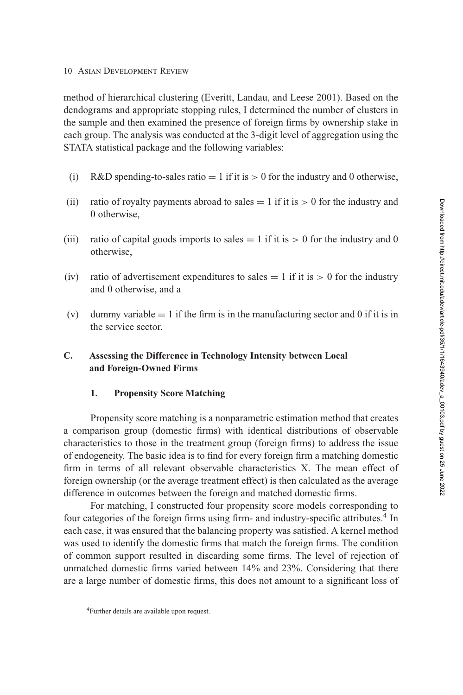method of hierarchical clustering (Everitt, Landau, and Leese [2001\)](#page-23-0). Based on the dendograms and appropriate stopping rules, I determined the number of clusters in the sample and then examined the presence of foreign firms by ownership stake in each group. The analysis was conducted at the 3-digit level of aggregation using the STATA statistical package and the following variables:

- (i) R&D spending-to-sales ratio  $= 1$  if it is  $> 0$  for the industry and 0 otherwise,
- (ii) ratio of royalty payments abroad to sales  $= 1$  if it is  $> 0$  for the industry and 0 otherwise,
- (iii) ratio of capital goods imports to sales  $= 1$  if it is  $> 0$  for the industry and 0 otherwise,
- (iv) ratio of advertisement expenditures to sales  $= 1$  if it is  $> 0$  for the industry and 0 otherwise, and a
- (v) dummy variable  $= 1$  if the firm is in the manufacturing sector and 0 if it is in the service sector.

# **C. Assessing the Difference in Technology Intensity between Local and Foreign-Owned Firms**

## **1. Propensity Score Matching**

Propensity score matching is a nonparametric estimation method that creates a comparison group (domestic firms) with identical distributions of observable characteristics to those in the treatment group (foreign firms) to address the issue of endogeneity. The basic idea is to find for every foreign firm a matching domestic firm in terms of all relevant observable characteristics X. The mean effect of foreign ownership (or the average treatment effect) is then calculated as the average difference in outcomes between the foreign and matched domestic firms.

For matching, I constructed four propensity score models corresponding to four categories of the foreign firms using firm- and industry-specific attributes.<sup>4</sup> In each case, it was ensured that the balancing property was satisfied. A kernel method was used to identify the domestic firms that match the foreign firms. The condition of common support resulted in discarding some firms. The level of rejection of unmatched domestic firms varied between 14% and 23%. Considering that there are a large number of domestic firms, this does not amount to a significant loss of

<sup>4</sup>Further details are available upon request.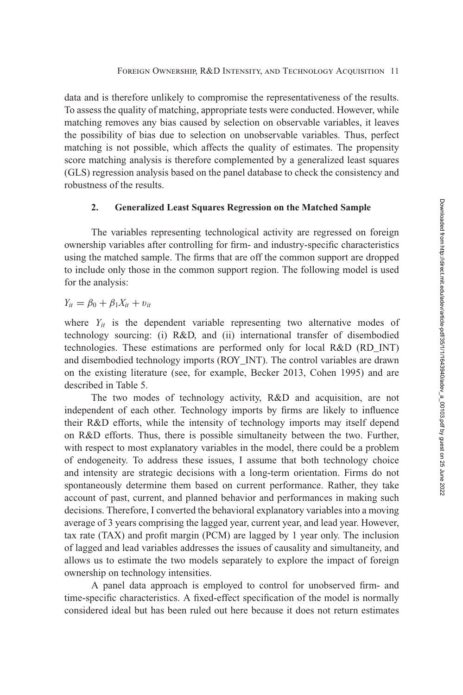data and is therefore unlikely to compromise the representativeness of the results. To assess the quality of matching, appropriate tests were conducted. However, while matching removes any bias caused by selection on observable variables, it leaves the possibility of bias due to selection on unobservable variables. Thus, perfect matching is not possible, which affects the quality of estimates. The propensity score matching analysis is therefore complemented by a generalized least squares (GLS) regression analysis based on the panel database to check the consistency and robustness of the results.

## **2. Generalized Least Squares Regression on the Matched Sample**

The variables representing technological activity are regressed on foreign ownership variables after controlling for firm- and industry-specific characteristics using the matched sample. The firms that are off the common support are dropped to include only those in the common support region. The following model is used for the analysis:

$$
Y_{it} = \beta_0 + \beta_1 X_{it} + v_{it}
$$

where  $Y_{it}$  is the dependent variable representing two alternative modes of technology sourcing: (i) R&D, and (ii) international transfer of disembodied technologies. These estimations are performed only for local R&D (RD\_INT) and disembodied technology imports (ROY\_INT). The control variables are drawn on the existing literature (see, for example, Becker [2013,](#page-22-0) Cohen [1995\)](#page-23-0) and are described in Table [5.](#page-17-0)

The two modes of technology activity, R&D and acquisition, are not independent of each other. Technology imports by firms are likely to influence their R&D efforts, while the intensity of technology imports may itself depend on R&D efforts. Thus, there is possible simultaneity between the two. Further, with respect to most explanatory variables in the model, there could be a problem of endogeneity. To address these issues, I assume that both technology choice and intensity are strategic decisions with a long-term orientation. Firms do not spontaneously determine them based on current performance. Rather, they take account of past, current, and planned behavior and performances in making such decisions. Therefore, I converted the behavioral explanatory variables into a moving average of 3 years comprising the lagged year, current year, and lead year. However, tax rate (TAX) and profit margin (PCM) are lagged by 1 year only. The inclusion of lagged and lead variables addresses the issues of causality and simultaneity, and allows us to estimate the two models separately to explore the impact of foreign ownership on technology intensities.

A panel data approach is employed to control for unobserved firm- and time-specific characteristics. A fixed-effect specification of the model is normally considered ideal but has been ruled out here because it does not return estimates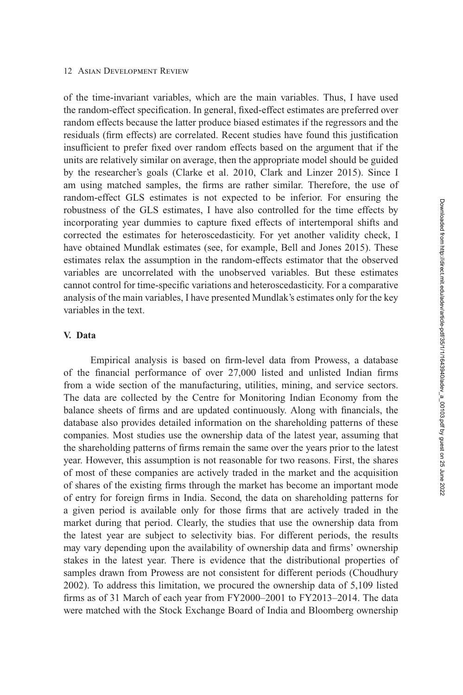<span id="page-11-0"></span>of the time-invariant variables, which are the main variables. Thus, I have used the random-effect specification. In general, fixed-effect estimates are preferred over random effects because the latter produce biased estimates if the regressors and the residuals (firm effects) are correlated. Recent studies have found this justification insufficient to prefer fixed over random effects based on the argument that if the units are relatively similar on average, then the appropriate model should be guided by the researcher's goals (Clarke et al. [2010,](#page-23-0) Clark and Linzer [2015\)](#page-23-0). Since I am using matched samples, the firms are rather similar. Therefore, the use of random-effect GLS estimates is not expected to be inferior. For ensuring the robustness of the GLS estimates, I have also controlled for the time effects by incorporating year dummies to capture fixed effects of intertemporal shifts and corrected the estimates for heteroscedasticity. For yet another validity check, I have obtained Mundlak estimates (see, for example, Bell and Jones [2015\)](#page-22-0). These estimates relax the assumption in the random-effects estimator that the observed variables are uncorrelated with the unobserved variables. But these estimates cannot control for time-specific variations and heteroscedasticity. For a comparative analysis of the main variables, I have presented Mundlak's estimates only for the key variables in the text.

#### **V. Data**

Empirical analysis is based on firm-level data from Prowess, a database of the financial performance of over 27,000 listed and unlisted Indian firms from a wide section of the manufacturing, utilities, mining, and service sectors. The data are collected by the Centre for Monitoring Indian Economy from the balance sheets of firms and are updated continuously. Along with financials, the database also provides detailed information on the shareholding patterns of these companies. Most studies use the ownership data of the latest year, assuming that the shareholding patterns of firms remain the same over the years prior to the latest year. However, this assumption is not reasonable for two reasons. First, the shares of most of these companies are actively traded in the market and the acquisition of shares of the existing firms through the market has become an important mode of entry for foreign firms in India. Second, the data on shareholding patterns for a given period is available only for those firms that are actively traded in the market during that period. Clearly, the studies that use the ownership data from the latest year are subject to selectivity bias. For different periods, the results may vary depending upon the availability of ownership data and firms' ownership stakes in the latest year. There is evidence that the distributional properties of samples drawn from Prowess are not consistent for different periods (Choudhury [2002\)](#page-23-0). To address this limitation, we procured the ownership data of 5,109 listed firms as of 31 March of each year from FY2000–2001 to FY2013–2014. The data were matched with the Stock Exchange Board of India and Bloomberg ownership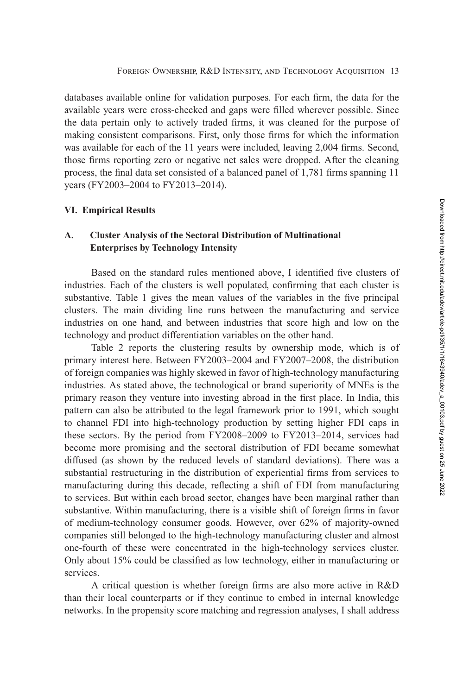<span id="page-12-0"></span>databases available online for validation purposes. For each firm, the data for the available years were cross-checked and gaps were filled wherever possible. Since the data pertain only to actively traded firms, it was cleaned for the purpose of making consistent comparisons. First, only those firms for which the information was available for each of the 11 years were included, leaving 2,004 firms. Second, those firms reporting zero or negative net sales were dropped. After the cleaning process, the final data set consisted of a balanced panel of 1,781 firms spanning 11 years (FY2003–2004 to FY2013–2014).

#### **VI. Empirical Results**

# **A. Cluster Analysis of the Sectoral Distribution of Multinational Enterprises by Technology Intensity**

Based on the standard rules mentioned above, I identified five clusters of industries. Each of the clusters is well populated, confirming that each cluster is substantive. Table [1](#page-13-0) gives the mean values of the variables in the five principal clusters. The main dividing line runs between the manufacturing and service industries on one hand, and between industries that score high and low on the technology and product differentiation variables on the other hand.

Table [2](#page-14-0) reports the clustering results by ownership mode, which is of primary interest here. Between FY2003–2004 and FY2007–2008, the distribution of foreign companies was highly skewed in favor of high-technology manufacturing industries. As stated above, the technological or brand superiority of MNEs is the primary reason they venture into investing abroad in the first place. In India, this pattern can also be attributed to the legal framework prior to 1991, which sought to channel FDI into high-technology production by setting higher FDI caps in these sectors. By the period from FY2008–2009 to FY2013–2014, services had become more promising and the sectoral distribution of FDI became somewhat diffused (as shown by the reduced levels of standard deviations). There was a substantial restructuring in the distribution of experiential firms from services to manufacturing during this decade, reflecting a shift of FDI from manufacturing to services. But within each broad sector, changes have been marginal rather than substantive. Within manufacturing, there is a visible shift of foreign firms in favor of medium-technology consumer goods. However, over 62% of majority-owned companies still belonged to the high-technology manufacturing cluster and almost one-fourth of these were concentrated in the high-technology services cluster. Only about 15% could be classified as low technology, either in manufacturing or services.

A critical question is whether foreign firms are also more active in R&D than their local counterparts or if they continue to embed in internal knowledge networks. In the propensity score matching and regression analyses, I shall address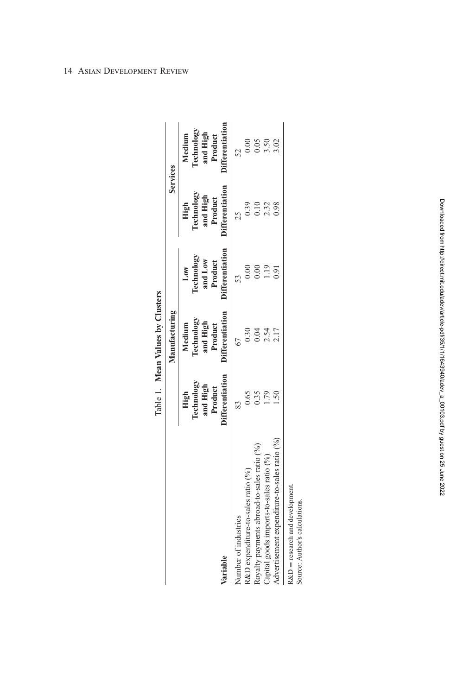<span id="page-13-0"></span>

|                                                           |                                                                     | Table 1. Mean Values by Clusters                                      |                                                                   |                                                                     |                                                                       |
|-----------------------------------------------------------|---------------------------------------------------------------------|-----------------------------------------------------------------------|-------------------------------------------------------------------|---------------------------------------------------------------------|-----------------------------------------------------------------------|
|                                                           |                                                                     | Manufacturing                                                         |                                                                   |                                                                     | Services                                                              |
| Variable                                                  | <b>Differentiation</b><br>Technology<br>and High<br>Product<br>High | <b>Differentiation</b><br>Technology<br>and High<br>Medium<br>Product | <b>Differentiation</b><br>Technology<br>and Low<br>Product<br>Low | <b>Differentiation</b><br>Technology<br>and High<br>Product<br>High | <b>)ifferentiation</b><br>Technology<br>and High<br>Medium<br>Product |
|                                                           |                                                                     |                                                                       |                                                                   |                                                                     |                                                                       |
| Number of industries                                      |                                                                     |                                                                       |                                                                   | 25                                                                  |                                                                       |
| R&D expenditure-to-sales ratio (%)                        | 0.65                                                                | 0.30                                                                  |                                                                   | 0.39                                                                | 0.00                                                                  |
| Royalty payments abroad-to-sales ratio (%)                | 0.35                                                                | 0.04                                                                  | $\widetilde{5}$                                                   | 0.10                                                                | 0.05                                                                  |
| Capital goods imports-to-sales ratio (%)                  | 56.                                                                 | 2.54                                                                  | $\frac{1}{2}$                                                     | 2.32                                                                | 3.50                                                                  |
| Advertisement expenditure-to-sales ratio (%)              |                                                                     | 2.17                                                                  | 191                                                               | 0.98                                                                | $\frac{3.02}{5}$                                                      |
| $R\&D$ = research and development<br>$\ddot{\phantom{a}}$ |                                                                     |                                                                       |                                                                   |                                                                     |                                                                       |

Source: Author's calculations. Source: Author's calculations.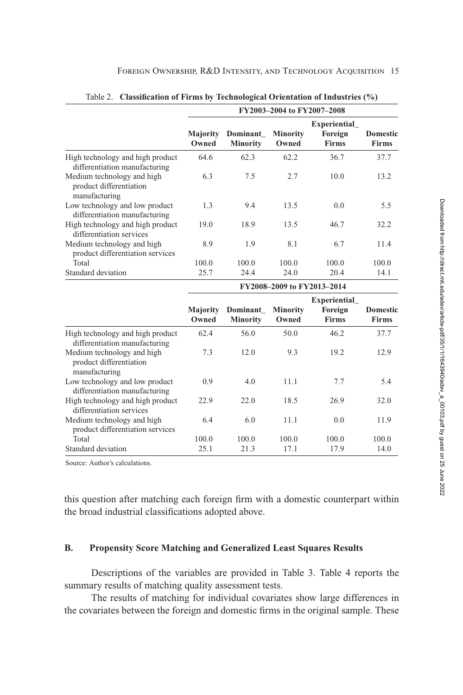<span id="page-14-0"></span>

|                                                                        | FY2003-2004 to FY2007-2008 |                             |                          |                                         |                                 |
|------------------------------------------------------------------------|----------------------------|-----------------------------|--------------------------|-----------------------------------------|---------------------------------|
|                                                                        | <b>Majority</b><br>Owned   | Dominant<br><b>Minority</b> | <b>Minority</b><br>Owned | Experiential<br>Foreign<br><b>Firms</b> | <b>Domestic</b><br><b>Firms</b> |
| High technology and high product<br>differentiation manufacturing      | 64.6                       | 62.3                        | 62.2                     | 36.7                                    | 37.7                            |
| Medium technology and high<br>product differentiation<br>manufacturing | 6.3                        | 7.5                         | 2.7                      | 10.0                                    | 13.2                            |
| Low technology and low product<br>differentiation manufacturing        | 1.3                        | 9.4                         | 13.5                     | 0.0                                     | 5.5                             |
| High technology and high product<br>differentiation services           | 19.0                       | 18.9                        | 13.5                     | 46.7                                    | 32.2                            |
| Medium technology and high<br>product differentiation services         | 8.9                        | 1.9                         | 8.1                      | 6.7                                     | 11.4                            |
| Total                                                                  | 100.0                      | 100.0                       | 100.0                    | 100.0                                   | 100.0                           |
| Standard deviation                                                     | 25.7                       | 24.4                        | 24.0                     | 20.4                                    | 14.1                            |

Table 2. **Classification of Firms by Technological Orientation of Industries (%)**

|                                                                        | FY2008-2009 to FY2013-2014 |                             |                          |                                                |                                 |
|------------------------------------------------------------------------|----------------------------|-----------------------------|--------------------------|------------------------------------------------|---------------------------------|
|                                                                        | Majority<br>Owned          | Dominant<br><b>Minority</b> | <b>Minority</b><br>Owned | <b>Experiential</b><br>Foreign<br><b>Firms</b> | <b>Domestic</b><br><b>Firms</b> |
| High technology and high product<br>differentiation manufacturing      | 62.4                       | 56.0                        | 50.0                     | 46.2                                           | 37.7                            |
| Medium technology and high<br>product differentiation<br>manufacturing | 7.3                        | 12.0                        | 9.3                      | 19.2                                           | 12.9                            |
| Low technology and low product<br>differentiation manufacturing        | 0.9                        | 4.0                         | 11.1                     | 7.7                                            | 5.4                             |
| High technology and high product<br>differentiation services           | 22.9                       | 22.0                        | 18.5                     | 26.9                                           | 32.0                            |
| Medium technology and high<br>product differentiation services         | 6.4                        | 6.0                         | 11.1                     | 0.0                                            | 11.9                            |
| Total                                                                  | 100.0                      | 100.0                       | 100.0                    | 100.0                                          | 100.0                           |
| Standard deviation                                                     | 25.1                       | 21.3                        | 17.1                     | 17.9                                           | 14.0                            |

Source: Author's calculations.

this question after matching each foreign firm with a domestic counterpart within the broad industrial classifications adopted above.

## **B. Propensity Score Matching and Generalized Least Squares Results**

Descriptions of the variables are provided in Table [3.](#page-15-0) Table [4](#page-16-0) reports the summary results of matching quality assessment tests.

The results of matching for individual covariates show large differences in the covariates between the foreign and domestic firms in the original sample. These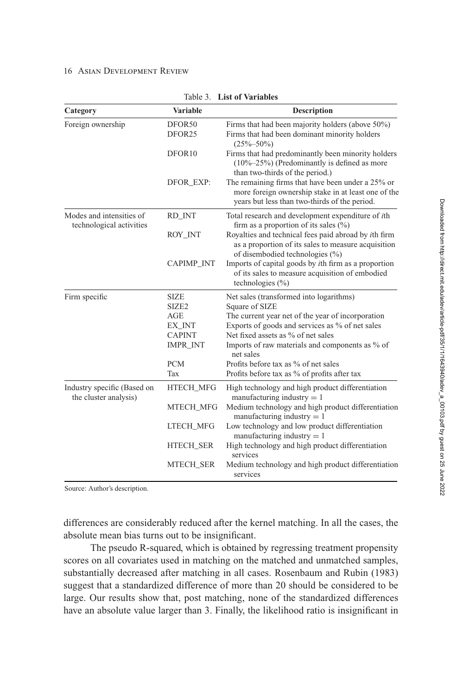<span id="page-15-0"></span>

| Category                                             | <b>Variable</b>              | <b>Description</b>                                                                                                                                        |
|------------------------------------------------------|------------------------------|-----------------------------------------------------------------------------------------------------------------------------------------------------------|
| Foreign ownership                                    | DFOR50<br>DFOR <sub>25</sub> | Firms that had been majority holders (above 50%)<br>Firms that had been dominant minority holders<br>$(25\% - 50\%)$                                      |
|                                                      | DFOR <sub>10</sub>           | Firms that had predominantly been minority holders<br>$(10\% - 25\%)$ (Predominantly is defined as more<br>than two-thirds of the period.)                |
|                                                      | DFOR EXP:                    | The remaining firms that have been under a 25% or<br>more foreign ownership stake in at least one of the<br>years but less than two-thirds of the period. |
| Modes and intensities of<br>technological activities | RD_INT                       | Total research and development expenditure of <i>ith</i><br>firm as a proportion of its sales $(\%)$                                                      |
|                                                      | ROY_INT                      | Royalties and technical fees paid abroad by ith firm<br>as a proportion of its sales to measure acquisition<br>of disembodied technologies (%)            |
|                                                      | CAPIMP_INT                   | Imports of capital goods by <i>i</i> th firm as a proportion<br>of its sales to measure acquisition of embodied<br>technologies $(\% )$                   |
| Firm specific                                        | <b>SIZE</b>                  | Net sales (transformed into logarithms)                                                                                                                   |
|                                                      | SIZE <sub>2</sub>            | Square of SIZE                                                                                                                                            |
|                                                      | <b>AGE</b>                   | The current year net of the year of incorporation                                                                                                         |
|                                                      | EX_INT                       | Exports of goods and services as % of net sales                                                                                                           |
|                                                      | <b>CAPINT</b>                | Net fixed assets as % of net sales                                                                                                                        |
|                                                      | <b>IMPR_INT</b>              | Imports of raw materials and components as % of<br>net sales                                                                                              |
|                                                      | <b>PCM</b>                   | Profits before tax as % of net sales                                                                                                                      |
|                                                      | Tax                          | Profits before tax as % of profits after tax                                                                                                              |
| Industry specific (Based on<br>the cluster analysis) | HTECH_MFG                    | High technology and high product differentiation<br>manufacturing industry $= 1$                                                                          |
|                                                      | MTECH_MFG                    | Medium technology and high product differentiation<br>manufacturing industry $= 1$                                                                        |
|                                                      | <b>LTECH_MFG</b>             | Low technology and low product differentiation<br>manufacturing industry $= 1$                                                                            |
|                                                      | <b>HTECH_SER</b>             | High technology and high product differentiation<br>services                                                                                              |
|                                                      | MTECH_SER                    | Medium technology and high product differentiation<br>services                                                                                            |

#### Table 3. **List of Variables**

Source: Author's description.

differences are considerably reduced after the kernel matching. In all the cases, the absolute mean bias turns out to be insignificant.

The pseudo R-squared, which is obtained by regressing treatment propensity scores on all covariates used in matching on the matched and unmatched samples, substantially decreased after matching in all cases. Rosenbaum and Rubin [\(1983\)](#page-25-0) suggest that a standardized difference of more than 20 should be considered to be large. Our results show that, post matching, none of the standardized differences have an absolute value larger than 3. Finally, the likelihood ratio is insignificant in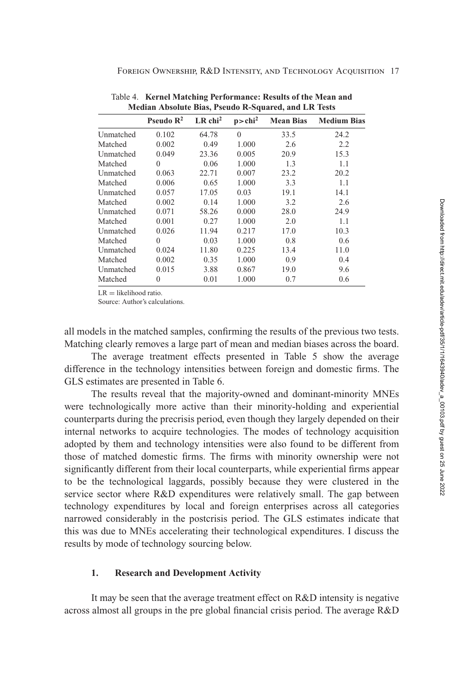| Median Absolute Dias, Pseudo R-Squared, and LR Tests |                       |                      |                  |                    |  |  |
|------------------------------------------------------|-----------------------|----------------------|------------------|--------------------|--|--|
| Pseudo $\mathbb{R}^2$                                | $LR$ chi <sup>2</sup> | p > chi <sup>2</sup> | <b>Mean Bias</b> | <b>Medium Bias</b> |  |  |
| 0.102                                                | 64.78                 | $\Omega$             | 33.5             | 24.2               |  |  |
| 0.002                                                | 0.49                  | 1.000                | 2.6              | 2.2                |  |  |
| 0.049                                                | 23.36                 | 0.005                | 20.9             | 15.3               |  |  |
| $\theta$                                             | 0.06                  | 1.000                | 1.3              | 1.1                |  |  |
| 0.063                                                | 22.71                 | 0.007                | 23.2             | 20.2               |  |  |
| 0.006                                                | 0.65                  | 1.000                | 3.3              | 1.1                |  |  |
| 0.057                                                | 17.05                 | 0.03                 | 19.1             | 14.1               |  |  |
| 0.002                                                | 0.14                  | 1.000                | 3.2              | 2.6                |  |  |
| 0.071                                                | 58.26                 | 0.000                | 28.0             | 24.9               |  |  |
| 0.001                                                | 0.27                  | 1.000                | 2.0              | 1.1                |  |  |
| 0.026                                                | 11.94                 | 0.217                | 17.0             | 10.3               |  |  |
| $\Omega$                                             | 0.03                  | 1.000                | 0.8              | 0.6                |  |  |
| 0.024                                                | 11.80                 | 0.225                | 13.4             | 11.0               |  |  |
| 0.002                                                | 0.35                  | 1.000                | 0.9              | 0.4                |  |  |
| 0.015                                                | 3.88                  | 0.867                | 19.0             | 9.6                |  |  |
| $\theta$                                             | 0.01                  | 1.000                | 0.7              | 0.6                |  |  |
|                                                      |                       |                      |                  |                    |  |  |

<span id="page-16-0"></span>Foreign Ownership, R&D Intensity, and Technology Acquisition 17

 $LR = likelihood ratio$ .

Source: Author's calculations.

all models in the matched samples, confirming the results of the previous two tests. Matching clearly removes a large part of mean and median biases across the board.

The average treatment effects presented in Table [5](#page-17-0) show the average difference in the technology intensities between foreign and domestic firms. The GLS estimates are presented in Table [6.](#page-18-0)

The results reveal that the majority-owned and dominant-minority MNEs were technologically more active than their minority-holding and experiential counterparts during the precrisis period, even though they largely depended on their internal networks to acquire technologies. The modes of technology acquisition adopted by them and technology intensities were also found to be different from those of matched domestic firms. The firms with minority ownership were not significantly different from their local counterparts, while experiential firms appear to be the technological laggards, possibly because they were clustered in the service sector where R&D expenditures were relatively small. The gap between technology expenditures by local and foreign enterprises across all categories narrowed considerably in the postcrisis period. The GLS estimates indicate that this was due to MNEs accelerating their technological expenditures. I discuss the results by mode of technology sourcing below.

## **1. Research and Development Activity**

It may be seen that the average treatment effect on R&D intensity is negative across almost all groups in the pre global financial crisis period. The average R&D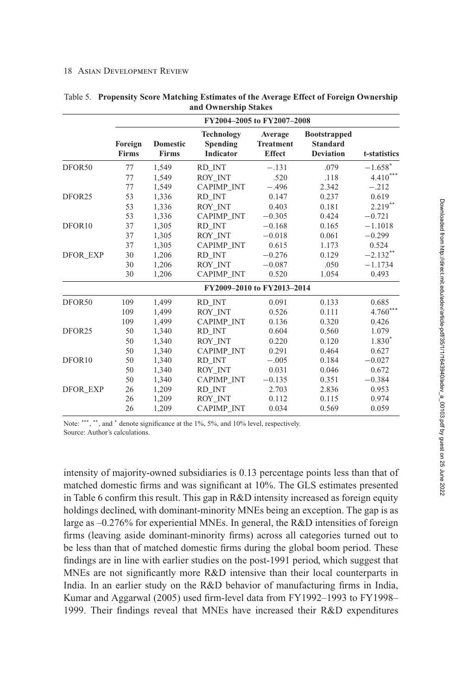|                    | FY2004-2005 to FY2007-2008 |                                 |                                                   |                                              |                                                            |              |  |
|--------------------|----------------------------|---------------------------------|---------------------------------------------------|----------------------------------------------|------------------------------------------------------------|--------------|--|
|                    | Foreign<br><b>Firms</b>    | <b>Domestic</b><br><b>Firms</b> | <b>Technology</b><br>Spending<br><b>Indicator</b> | Average<br><b>Treatment</b><br><b>Effect</b> | <b>Bootstrapped</b><br><b>Standard</b><br><b>Deviation</b> | t-statistics |  |
| DFOR <sub>50</sub> | 77                         | 1,549                           | RD INT                                            | $-.131$                                      | .079                                                       | $-1.658*$    |  |
|                    | 77                         | 1,549                           | ROY INT                                           | .520                                         | .118                                                       | $4.410***$   |  |
|                    | 77                         | 1.549                           | CAPIMP_INT                                        | $-.496$                                      | 2.342                                                      | $-.212$      |  |
| DFOR <sub>25</sub> | 53                         | 1,336                           | RD INT                                            | 0.147                                        | 0.237                                                      | 0.619        |  |
|                    | 53                         | 1,336                           | ROY INT                                           | 0.403                                        | 0.181                                                      | $2.219***$   |  |
|                    | 53                         | 1,336                           | <b>CAPIMP INT</b>                                 | $-0.305$                                     | 0.424                                                      | $-0.721$     |  |
| DFOR <sub>10</sub> | 37                         | 1,305                           | RD_INT                                            | $-0.168$                                     | 0.165                                                      | $-1.1018$    |  |
|                    | 37                         | 1,305                           | ROY INT                                           | $-0.018$                                     | 0.061                                                      | $-0.299$     |  |
|                    | 37                         | 1,305                           | <b>CAPIMP INT</b>                                 | 0.615                                        | 1.173                                                      | 0.524        |  |
| <b>DFOR EXP</b>    | 30                         | 1,206                           | RD INT                                            | $-0.276$                                     | 0.129                                                      | $-2.132***$  |  |
|                    | 30                         | 1,206                           | ROY INT                                           | $-0.087$                                     | .050                                                       | $-1.1734$    |  |
|                    | 30                         | 1,206                           | CAPIMP_INT                                        | 0.520                                        | 1.054                                                      | 0.493        |  |
|                    |                            |                                 | FY2009-2010 to FY2013-2014                        |                                              |                                                            |              |  |
| DFOR50             | 109                        | 1,499                           | RD INT                                            | 0.091                                        | 0.133                                                      | 0.685        |  |
|                    | 109                        | 1,499                           | ROY INT                                           | 0.526                                        | 0.111                                                      | $4.760***$   |  |
|                    | 109                        | 1,499                           | CAPIMP_INT                                        | 0.136                                        | 0.320                                                      | 0.426        |  |
| DFOR <sub>25</sub> | 50                         | 1,340                           | RD INT                                            | 0.604                                        | 0.560                                                      | 1.079        |  |
|                    | 50                         | 1,340                           | ROY INT                                           | 0.220                                        | 0.120                                                      | $1.830*$     |  |
|                    | 50                         | 1,340                           | <b>CAPIMP INT</b>                                 | 0.291                                        | 0.464                                                      | 0.627        |  |
| DFOR <sub>10</sub> | 50                         | 1,340                           | RD INT                                            | $-.005$                                      | 0.184                                                      | $-0.027$     |  |
|                    | 50                         | 1,340                           | ROY INT                                           | 0.031                                        | 0.046                                                      | 0.672        |  |
|                    | 50                         | 1,340                           | CAPIMP_INT                                        | $-0.135$                                     | 0.351                                                      | $-0.384$     |  |
| <b>DFOR EXP</b>    | 26                         | 1,209                           | RD INT                                            | 2.703                                        | 2.836                                                      | 0.953        |  |
|                    | 26                         | 1,209                           | ROY INT                                           | 0.112                                        | 0.115                                                      | 0.974        |  |
|                    | 26                         | 1,209                           | <b>CAPIMP INT</b>                                 | 0.034                                        | 0.569                                                      | 0.059        |  |

<span id="page-17-0"></span>

| Table 5. Propensity Score Matching Estimates of the Average Effect of Foreign Ownership |
|-----------------------------------------------------------------------------------------|
| and Ownership Stakes                                                                    |

Note: \*\*\*, \*\*, and \* denote significance at the 1%, 5%, and 10% level, respectively. Source: Author's calculations.

intensity of majority-owned subsidiaries is 0.13 percentage points less than that of matched domestic firms and was significant at 10%. The GLS estimates presented in Table [6](#page-18-0) confirm this result. This gap in R&D intensity increased as foreign equity holdings declined, with dominant-minority MNEs being an exception. The gap is as large as –0.276% for experiential MNEs. In general, the R&D intensities of foreign firms (leaving aside dominant-minority firms) across all categories turned out to be less than that of matched domestic firms during the global boom period. These findings are in line with earlier studies on the post-1991 period, which suggest that MNEs are not significantly more R&D intensive than their local counterparts in India. In an earlier study on the R&D behavior of manufacturing firms in India, Kumar and Aggarwal [\(2005\)](#page-24-0) used firm-level data from FY1992–1993 to FY1998– 1999. Their findings reveal that MNEs have increased their R&D expenditures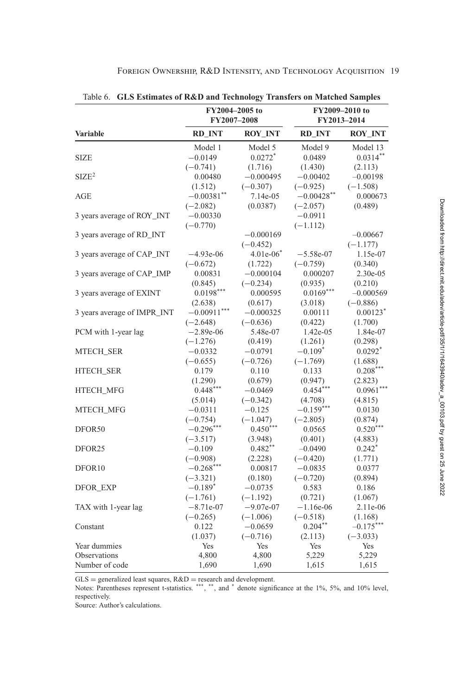<span id="page-18-0"></span>

| <b>GLS Estimates of R&amp;D and Technology Transfers on Matched Samples</b><br>Table 6. |               |                               |               |                               |  |  |
|-----------------------------------------------------------------------------------------|---------------|-------------------------------|---------------|-------------------------------|--|--|
|                                                                                         |               | FY2004-2005 to<br>FY2007-2008 |               | FY2009-2010 to<br>FY2013-2014 |  |  |
| <b>Variable</b>                                                                         | <b>RD INT</b> | <b>ROY INT</b>                | <b>RD_INT</b> | <b>ROY INT</b>                |  |  |
|                                                                                         | Model 1       | Model 5                       | Model 9       | Model 13                      |  |  |
| SIZE                                                                                    | $-0.0149$     | $0.0272$ <sup>*</sup>         | 0.0489        | $0.0314**$                    |  |  |
|                                                                                         | $(-0.741)$    | (1.716)                       | (1.430)       | (2.113)                       |  |  |
| SIZE <sup>2</sup>                                                                       | 0.00480       | $-0.000495$                   | $-0.00402$    | $-0.00198$                    |  |  |
|                                                                                         | (1.512)       | $(-0.307)$                    | $(-0.925)$    | $(-1.508)$                    |  |  |
| AGE                                                                                     | $-0.00381$ ** | 7.14e-05                      | $-0.00428$ ** | 0.000673                      |  |  |
|                                                                                         | $(-2.082)$    | (0.0387)                      | $(-2.057)$    | (0.489)                       |  |  |
| 3 years average of ROY_INT                                                              | $-0.00330$    |                               | $-0.0911$     |                               |  |  |
|                                                                                         | $(-0.770)$    |                               | $(-1.112)$    |                               |  |  |
| 3 years average of RD_INT                                                               |               | $-0.000169$                   |               | $-0.00667$                    |  |  |
|                                                                                         |               | $(-0.452)$                    |               | $(-1.177)$                    |  |  |
| 3 years average of CAP_INT                                                              | $-4.93e-06$   | $4.01e-06$ <sup>*</sup>       | $-5.58e-07$   | 1.15e-07                      |  |  |
|                                                                                         | $(-0.672)$    | (1.722)                       | $(-0.759)$    | (0.340)                       |  |  |
| 3 years average of CAP_IMP                                                              | 0.00831       | $-0.000104$                   | 0.000207      | 2.30e-05                      |  |  |
|                                                                                         | (0.845)       | $(-0.234)$                    | (0.935)       | (0.210)                       |  |  |
| 3 years average of EXINT                                                                | $0.0198***$   | 0.000595                      | $0.0169***$   | $-0.000569$                   |  |  |
|                                                                                         | (2.638)       | (0.617)                       | (3.018)       | $(-0.886)$                    |  |  |
| 3 years average of IMPR_INT                                                             | $-0.00911***$ | $-0.000325$                   | 0.00111       | $0.00123$ <sup>*</sup>        |  |  |
|                                                                                         | $(-2.648)$    | $(-0.636)$                    | (0.422)       | (1.700)                       |  |  |
| PCM with 1-year lag                                                                     | $-2.89e-06$   | 5.48e-07                      | 1.42e-05      | 1.84e-07                      |  |  |
|                                                                                         | $(-1.276)$    | (0.419)                       | (1.261)       | (0.298)                       |  |  |
| <b>MTECH_SER</b>                                                                        | $-0.0332$     | $-0.0791$                     | $-0.109*$     | $0.0292*$                     |  |  |
|                                                                                         | $(-0.655)$    | $(-0.726)$                    | $(-1.769)$    | (1.688)                       |  |  |
| HTECH_SER                                                                               | 0.179         | 0.110                         | 0.133         | $0.208***$                    |  |  |
|                                                                                         | (1.290)       | (0.679)                       | (0.947)       | (2.823)                       |  |  |
| HTECH_MFG                                                                               | $0.448***$    | $-0.0469$                     | $0.454***$    | $0.0961***$                   |  |  |
|                                                                                         | (5.014)       | $(-0.342)$                    | (4.708)       | (4.815)                       |  |  |
| <b>MTECH MFG</b>                                                                        | $-0.0311$     | $-0.125$                      | $-0.159***$   | 0.0130                        |  |  |
|                                                                                         | $(-0.754)$    | $(-1.047)$                    | $(-2.805)$    | (0.874)                       |  |  |
| DFOR <sub>50</sub>                                                                      | $-0.296***$   | $0.450***$                    | 0.0565        | $0.520***$                    |  |  |
|                                                                                         | $(-3.517)$    | (3.948)                       | (0.401)       | (4.883)                       |  |  |
| DFOR <sub>25</sub>                                                                      | $-0.109$      | $0.482$ **                    | $-0.0490$     | $0.242$ <sup>*</sup>          |  |  |
|                                                                                         | $(-0.908)$    | (2.228)                       | $(-0.420)$    | (1.771)                       |  |  |
| DFOR <sub>10</sub>                                                                      | $-0.268$ ***  | 0.00817                       | $-0.0835$     | 0.0377                        |  |  |
|                                                                                         | $(-3.321)$    | (0.180)                       | $(-0.720)$    | (0.894)                       |  |  |
| <b>DFOR EXP</b>                                                                         | $-0.189*$     | $-0.0735$                     | 0.583         | 0.186                         |  |  |
|                                                                                         | $(-1.761)$    | $(-1.192)$                    | (0.721)       | (1.067)                       |  |  |
| TAX with 1-year lag                                                                     | $-8.71e-07$   | $-9.07e-07$                   | $-1.16e-06$   | 2.11e-06                      |  |  |
|                                                                                         | $(-0.265)$    | $(-1.006)$                    | $(-0.518)$    | (1.168)                       |  |  |
| Constant                                                                                | 0.122         | $-0.0659$                     | $0.204***$    | $-0.175***$                   |  |  |
|                                                                                         | (1.037)       | $(-0.716)$                    | (2.113)       | $(-3.033)$                    |  |  |
| Year dummies                                                                            | Yes           | Yes                           | Yes           | Yes                           |  |  |
| Observations<br>Number of code                                                          | 4,800         | 4,800                         | 5,229         | 5,229                         |  |  |
|                                                                                         | 1,690         | 1,690                         | 1,615         | 1,615                         |  |  |

| FOREIGN OWNERSHIP, R&D INTENSITY, AND TECHNOLOGY ACQUISITION 19 |  |  |  |  |
|-----------------------------------------------------------------|--|--|--|--|
|-----------------------------------------------------------------|--|--|--|--|

GLS = generalized least squares, R&D = research and development.<br>Notes: Parentheses represent t-statistics. \*\*\*, \*\*, and \* denote significance at the 1%, 5%, and 10% level, respectively.

Source: Author's calculations.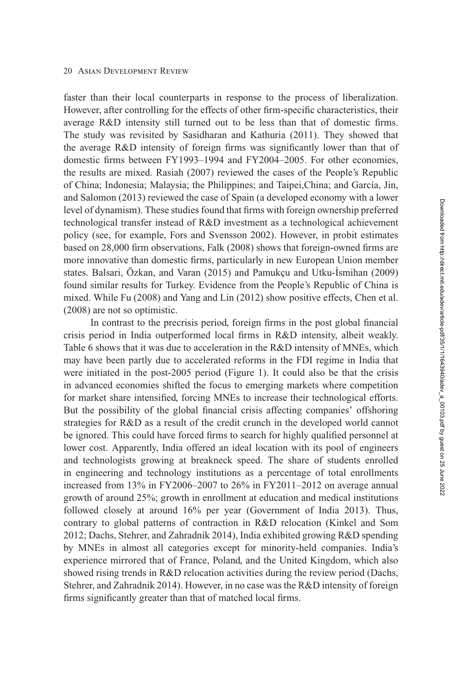faster than their local counterparts in response to the process of liberalization. However, after controlling for the effects of other firm-specific characteristics, their average R&D intensity still turned out to be less than that of domestic firms. The study was revisited by Sasidharan and Kathuria [\(2011\)](#page-25-0). They showed that the average R&D intensity of foreign firms was significantly lower than that of domestic firms between FY1993–1994 and FY2004–2005. For other economies, the results are mixed. Rasiah [\(2007\)](#page-25-0) reviewed the cases of the People's Republic of China; Indonesia; Malaysia; the Philippines; and Taipei,China; and García, Jin, and Salomon [\(2013\)](#page-24-0) reviewed the case of Spain (a developed economy with a lower level of dynamism). These studies found that firms with foreign ownership preferred technological transfer instead of R&D investment as a technological achievement policy (see, for example, Fors and Svensson [2002\)](#page-23-0). However, in probit estimates based on 28,000 firm observations, Falk [\(2008\)](#page-23-0) shows that foreign-owned firms are more innovative than domestic firms, particularly in new European Union member states. Balsari, Özkan, and Varan [\(2015\)](#page-22-0) and Pamukçu and Utku-Ismihan [\(2009\)](#page-24-0) found similar results for Turkey. Evidence from the People's Republic of China is mixed. While Fu [\(2008\)](#page-23-0) and Yang and Lin [\(2012\)](#page-25-0) show positive effects, Chen et al. [\(2008\)](#page-23-0) are not so optimistic.

In contrast to the precrisis period, foreign firms in the post global financial crisis period in India outperformed local firms in R&D intensity, albeit weakly. Table [6](#page-18-0) shows that it was due to acceleration in the R&D intensity of MNEs, which may have been partly due to accelerated reforms in the FDI regime in India that were initiated in the post-2005 period (Figure [1\)](#page-4-0). It could also be that the crisis in advanced economies shifted the focus to emerging markets where competition for market share intensified, forcing MNEs to increase their technological efforts. But the possibility of the global financial crisis affecting companies' offshoring strategies for R&D as a result of the credit crunch in the developed world cannot be ignored. This could have forced firms to search for highly qualified personnel at lower cost. Apparently, India offered an ideal location with its pool of engineers and technologists growing at breakneck speed. The share of students enrolled in engineering and technology institutions as a percentage of total enrollments increased from 13% in FY2006–2007 to 26% in FY2011–2012 on average annual growth of around 25%; growth in enrollment at education and medical institutions followed closely at around 16% per year (Government of India 2013). Thus, contrary to global patterns of contraction in R&D relocation (Kinkel and Som [2012;](#page-24-0) Dachs, Stehrer, and Zahradnik [2014\)](#page-23-0), India exhibited growing R&D spending by MNEs in almost all categories except for minority-held companies. India's experience mirrored that of France, Poland, and the United Kingdom, which also showed rising trends in R&D relocation activities during the review period (Dachs, Stehrer, and Zahradnik [2014\)](#page-23-0). However, in no case was the R&D intensity of foreign firms significantly greater than that of matched local firms.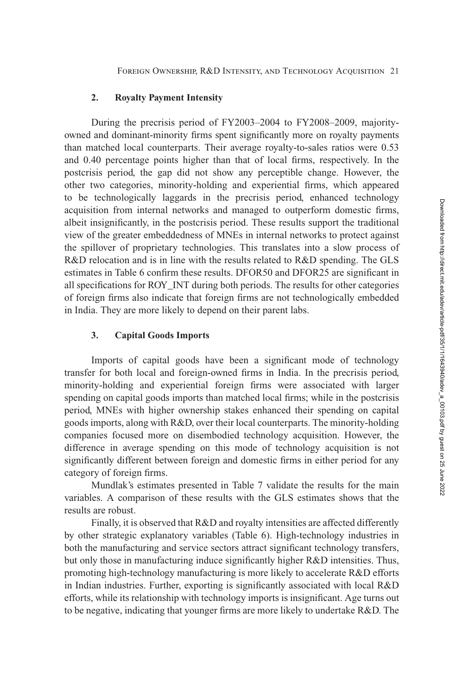#### **2. Royalty Payment Intensity**

During the precrisis period of FY2003–2004 to FY2008–2009, majorityowned and dominant-minority firms spent significantly more on royalty payments than matched local counterparts. Their average royalty-to-sales ratios were 0.53 and 0.40 percentage points higher than that of local firms, respectively. In the postcrisis period, the gap did not show any perceptible change. However, the other two categories, minority-holding and experiential firms, which appeared to be technologically laggards in the precrisis period, enhanced technology acquisition from internal networks and managed to outperform domestic firms, albeit insignificantly, in the postcrisis period. These results support the traditional view of the greater embeddedness of MNEs in internal networks to protect against the spillover of proprietary technologies. This translates into a slow process of R&D relocation and is in line with the results related to R&D spending. The GLS estimates in Table [6](#page-18-0) confirm these results. DFOR50 and DFOR25 are significant in all specifications for ROY\_INT during both periods. The results for other categories of foreign firms also indicate that foreign firms are not technologically embedded in India. They are more likely to depend on their parent labs.

#### **3. Capital Goods Imports**

Imports of capital goods have been a significant mode of technology transfer for both local and foreign-owned firms in India. In the precrisis period, minority-holding and experiential foreign firms were associated with larger spending on capital goods imports than matched local firms; while in the postcrisis period, MNEs with higher ownership stakes enhanced their spending on capital goods imports, along with R&D, over their local counterparts. The minority-holding companies focused more on disembodied technology acquisition. However, the difference in average spending on this mode of technology acquisition is not significantly different between foreign and domestic firms in either period for any category of foreign firms.

Mundlak's estimates presented in Table [7](#page-21-0) validate the results for the main variables. A comparison of these results with the GLS estimates shows that the results are robust.

Finally, it is observed that R&D and royalty intensities are affected differently by other strategic explanatory variables (Table [6\)](#page-18-0). High-technology industries in both the manufacturing and service sectors attract significant technology transfers, but only those in manufacturing induce significantly higher R&D intensities. Thus, promoting high-technology manufacturing is more likely to accelerate R&D efforts in Indian industries. Further, exporting is significantly associated with local R&D efforts, while its relationship with technology imports is insignificant. Age turns out to be negative, indicating that younger firms are more likely to undertake R&D. The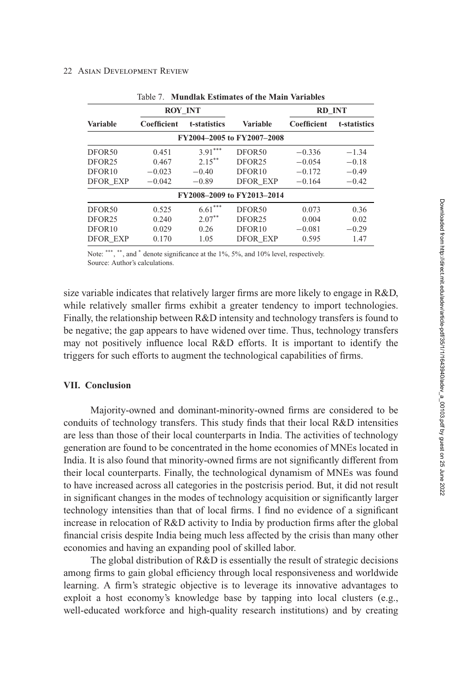<span id="page-21-0"></span>

|                            | <b>ROY INT</b> |              |                            | <b>RD INT</b> |              |  |  |  |
|----------------------------|----------------|--------------|----------------------------|---------------|--------------|--|--|--|
| <b>Variable</b>            | Coefficient    | t-statistics | <b>Variable</b>            | Coefficient   | t-statistics |  |  |  |
| FY2004-2005 to FY2007-2008 |                |              |                            |               |              |  |  |  |
| DFOR <sub>50</sub>         | 0.451          | $3.91***$    | DFOR <sub>50</sub>         | $-0.336$      | $-1.34$      |  |  |  |
| DFOR <sub>25</sub>         | 0.467          | $2.15***$    | DFOR <sub>25</sub>         | $-0.054$      | $-0.18$      |  |  |  |
| DFOR10                     | $-0.023$       | $-0.40$      | DFOR <sub>10</sub>         | $-0.172$      | $-0.49$      |  |  |  |
| <b>DFOR EXP</b>            | $-0.042$       | $-0.89$      | <b>DFOR EXP</b>            | $-0.164$      | $-0.42$      |  |  |  |
|                            |                |              | FY2008-2009 to FY2013-2014 |               |              |  |  |  |
| DFOR <sub>50</sub>         | 0.525          | ***<br>6.61  | DFOR <sub>50</sub>         | 0.073         | 0.36         |  |  |  |
| DFOR <sub>25</sub>         | 0.240          | $2.07***$    | DFOR <sub>25</sub>         | 0.004         | 0.02         |  |  |  |
| DFOR10                     | 0.029          | 0.26         | DFOR <sub>10</sub>         | $-0.081$      | $-0.29$      |  |  |  |
| <b>DFOR EXP</b>            | 0.170          | 1.05         | <b>DFOR EXP</b>            | 0.595         | 1.47         |  |  |  |

| Table 7. Mundlak Estimates of the Main Variables |  |
|--------------------------------------------------|--|
|--------------------------------------------------|--|

Note: \*\*\*, \*\*, and \* denote significance at the 1%, 5%, and 10% level, respectively. Source: Author's calculations.

size variable indicates that relatively larger firms are more likely to engage in R&D, while relatively smaller firms exhibit a greater tendency to import technologies. Finally, the relationship between R&D intensity and technology transfers is found to be negative; the gap appears to have widened over time. Thus, technology transfers may not positively influence local R&D efforts. It is important to identify the triggers for such efforts to augment the technological capabilities of firms.

#### **VII. Conclusion**

Majority-owned and dominant-minority-owned firms are considered to be conduits of technology transfers. This study finds that their local R&D intensities are less than those of their local counterparts in India. The activities of technology generation are found to be concentrated in the home economies of MNEs located in India. It is also found that minority-owned firms are not significantly different from their local counterparts. Finally, the technological dynamism of MNEs was found to have increased across all categories in the postcrisis period. But, it did not result in significant changes in the modes of technology acquisition or significantly larger technology intensities than that of local firms. I find no evidence of a significant increase in relocation of R&D activity to India by production firms after the global financial crisis despite India being much less affected by the crisis than many other economies and having an expanding pool of skilled labor.

The global distribution of R&D is essentially the result of strategic decisions among firms to gain global efficiency through local responsiveness and worldwide learning. A firm's strategic objective is to leverage its innovative advantages to exploit a host economy's knowledge base by tapping into local clusters (e.g., well-educated workforce and high-quality research institutions) and by creating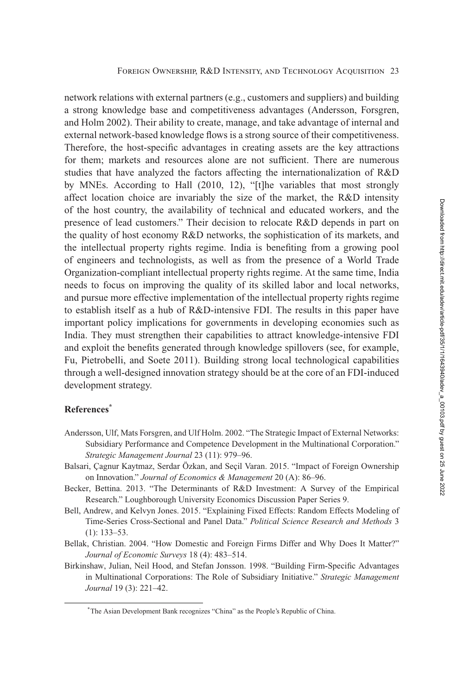<span id="page-22-0"></span>network relations with external partners (e.g., customers and suppliers) and building a strong knowledge base and competitiveness advantages (Andersson, Forsgren, and Holm 2002). Their ability to create, manage, and take advantage of internal and external network-based knowledge flows is a strong source of their competitiveness. Therefore, the host-specific advantages in creating assets are the key attractions for them; markets and resources alone are not sufficient. There are numerous studies that have analyzed the factors affecting the internationalization of R&D by MNEs. According to Hall [\(2010,](#page-24-0) 12), "[t]he variables that most strongly affect location choice are invariably the size of the market, the R&D intensity of the host country, the availability of technical and educated workers, and the presence of lead customers." Their decision to relocate R&D depends in part on the quality of host economy R&D networks, the sophistication of its markets, and the intellectual property rights regime. India is benefiting from a growing pool of engineers and technologists, as well as from the presence of a World Trade Organization-compliant intellectual property rights regime. At the same time, India needs to focus on improving the quality of its skilled labor and local networks, and pursue more effective implementation of the intellectual property rights regime to establish itself as a hub of R&D-intensive FDI. The results in this paper have important policy implications for governments in developing economies such as India. They must strengthen their capabilities to attract knowledge-intensive FDI and exploit the benefits generated through knowledge spillovers (see, for example, Fu, Pietrobelli, and Soete [2011\)](#page-23-0). Building strong local technological capabilities through a well-designed innovation strategy should be at the core of an FDI-induced development strategy.

## **References\***

- Andersson, Ulf, Mats Forsgren, and Ulf Holm. 2002. "The Strategic Impact of External Networks: Subsidiary Performance and Competence Development in the Multinational Corporation." *Strategic Management Journal* 23 (11): 979–96.
- Balsari, Çagnur Kaytmaz, Serdar Özkan, and Seçil Varan. 2015. "Impact of Foreign Ownership on Innovation." *Journal of Economics & Management* 20 (A): 86–96.
- Becker, Bettina. 2013. "The Determinants of R&D Investment: A Survey of the Empirical Research." Loughborough University Economics Discussion Paper Series 9.
- Bell, Andrew, and Kelvyn Jones. 2015. "Explaining Fixed Effects: Random Effects Modeling of Time-Series Cross-Sectional and Panel Data." *Political Science Research and Methods* 3 (1): 133–53.
- Bellak, Christian. 2004. "How Domestic and Foreign Firms Differ and Why Does It Matter?" *Journal of Economic Surveys* 18 (4): 483–514.
- Birkinshaw, Julian, Neil Hood, and Stefan Jonsson. 1998. "Building Firm-Specific Advantages in Multinational Corporations: The Role of Subsidiary Initiative." *Strategic Management Journal* 19 (3): 221–42.

<sup>\*</sup>The Asian Development Bank recognizes "China" as the People's Republic of China.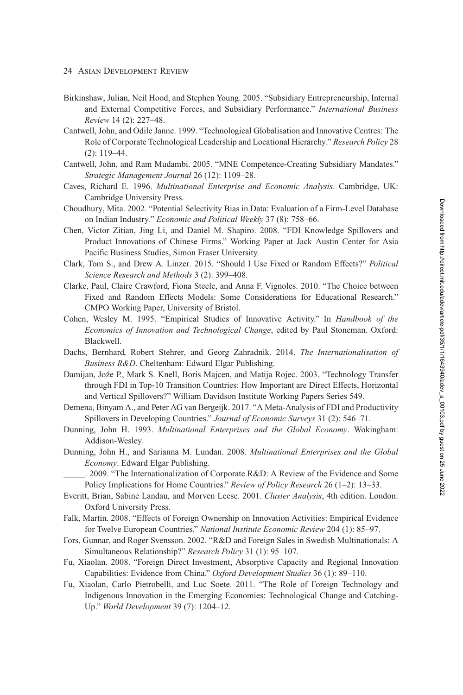- <span id="page-23-0"></span>Birkinshaw, Julian, Neil Hood, and Stephen Young. 2005. "Subsidiary Entrepreneurship, Internal and External Competitive Forces, and Subsidiary Performance." *International Business Review* 14 (2): 227–48.
- Cantwell, John, and Odile Janne. 1999. "Technological Globalisation and Innovative Centres: The Role of Corporate Technological Leadership and Locational Hierarchy." *Research Policy* 28 (2): 119–44.
- Cantwell, John, and Ram Mudambi. 2005. "MNE Competence-Creating Subsidiary Mandates." *Strategic Management Journal* 26 (12): 1109–28.
- Caves, Richard E. 1996. *Multinational Enterprise and Economic Analysis*. Cambridge, UK: Cambridge University Press.
- Choudhury, Mita. 2002. "Potential Selectivity Bias in Data: Evaluation of a Firm-Level Database on Indian Industry." *Economic and Political Weekly* 37 (8): 758–66.
- Chen, Victor Zitian, Jing Li, and Daniel M. Shapiro. 2008. "FDI Knowledge Spillovers and Product Innovations of Chinese Firms." Working Paper at Jack Austin Center for Asia Pacific Business Studies, Simon Fraser University.
- Clark, Tom S., and Drew A. Linzer. 2015. "Should I Use Fixed or Random Effects?" *Political Science Research and Methods* 3 (2): 399–408.
- Clarke, Paul, Claire Crawford, Fiona Steele, and Anna F. Vignoles. 2010. "The Choice between Fixed and Random Effects Models: Some Considerations for Educational Research." CMPO Working Paper, University of Bristol.
- Cohen, Wesley M. 1995. "Empirical Studies of Innovative Activity." In *Handbook of the Economics of Innovation and Technological Change*, edited by Paul Stoneman. Oxford: Blackwell.
- Dachs, Bernhard, Robert Stehrer, and Georg Zahradnik. 2014. *The Internationalisation of Business R&D*. Cheltenham: Edward Elgar Publishing.
- Damijan, Jože P., Mark S. Knell, Boris Majcen, and Matija Rojec. 2003. "Technology Transfer through FDI in Top-10 Transition Countries: How Important are Direct Effects, Horizontal and Vertical Spillovers?" William Davidson Institute Working Papers Series 549.
- Demena, Binyam A., and Peter AG van Bergeijk. 2017. "A Meta-Analysis of FDI and Productivity Spillovers in Developing Countries." *Journal of Economic Surveys* 31 (2): 546–71.
- Dunning, John H. 1993. *Multinational Enterprises and the Global Economy*. Wokingham: Addison-Wesley.
- Dunning, John H., and Sarianna M. Lundan. 2008. *Multinational Enterprises and the Global Economy*. Edward Elgar Publishing.

\_\_\_\_\_. 2009. "The Internationalization of Corporate R&D: A Review of the Evidence and Some Policy Implications for Home Countries." *Review of Policy Research* 26 (1–2): 13–33.

- Everitt, Brian, Sabine Landau, and Morven Leese. 2001. *Cluster Analysis*, 4th edition. London: Oxford University Press.
- Falk, Martin. 2008. "Effects of Foreign Ownership on Innovation Activities: Empirical Evidence for Twelve European Countries." *National Institute Economic Review* 204 (1): 85–97.
- Fors, Gunnar, and Roger Svensson. 2002. "R&D and Foreign Sales in Swedish Multinationals: A Simultaneous Relationship?" *Research Policy* 31 (1): 95–107.
- Fu, Xiaolan. 2008. "Foreign Direct Investment, Absorptive Capacity and Regional Innovation Capabilities: Evidence from China." *Oxford Development Studies* 36 (1): 89–110.
- Fu, Xiaolan, Carlo Pietrobelli, and Luc Soete. 2011. "The Role of Foreign Technology and Indigenous Innovation in the Emerging Economies: Technological Change and Catching-Up." *World Development* 39 (7): 1204–12.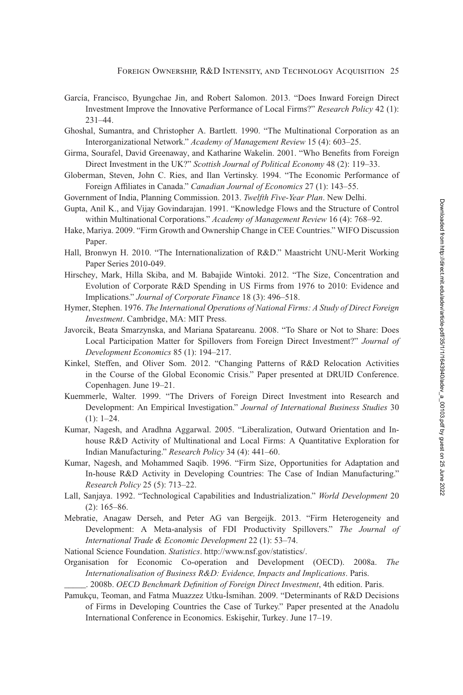- <span id="page-24-0"></span>García, Francisco, Byungchae Jin, and Robert Salomon. 2013. "Does Inward Foreign Direct Investment Improve the Innovative Performance of Local Firms?" *Research Policy* 42 (1): 231–44.
- Ghoshal, Sumantra, and Christopher A. Bartlett. 1990. "The Multinational Corporation as an Interorganizational Network." *Academy of Management Review* 15 (4): 603–25.
- Girma, Sourafel, David Greenaway, and Katharine Wakelin. 2001. "Who Benefits from Foreign Direct Investment in the UK?" *Scottish Journal of Political Economy* 48 (2): 119–33.
- Globerman, Steven, John C. Ries, and Ilan Vertinsky. 1994. "The Economic Performance of Foreign Affiliates in Canada." *Canadian Journal of Economics* 27 (1): 143–55.
- Government of India, Planning Commission. 2013. *Twelfth Five-Year Plan*. New Delhi.
- Gupta, Anil K., and Vijay Govindarajan. 1991. "Knowledge Flows and the Structure of Control within Multinational Corporations." *Academy of Management Review* 16 (4): 768–92.
- Hake, Mariya. 2009. "Firm Growth and Ownership Change in CEE Countries." WIFO Discussion Paper.
- Hall, Bronwyn H. 2010. "The Internationalization of R&D." Maastricht UNU-Merit Working Paper Series 2010-049.
- Hirschey, Mark, Hilla Skiba, and M. Babajide Wintoki. 2012. "The Size, Concentration and Evolution of Corporate R&D Spending in US Firms from 1976 to 2010: Evidence and Implications." *Journal of Corporate Finance* 18 (3): 496–518.
- Hymer, Stephen. 1976. *The International Operations of National Firms: A Study of Direct Foreign Investment*. Cambridge, MA: MIT Press.
- Javorcik, Beata Smarzynska, and Mariana Spatareanu. 2008. "To Share or Not to Share: Does Local Participation Matter for Spillovers from Foreign Direct Investment?" *Journal of Development Economics* 85 (1): 194–217.
- Kinkel, Steffen, and Oliver Som. 2012. "Changing Patterns of R&D Relocation Activities in the Course of the Global Economic Crisis." Paper presented at DRUID Conference. Copenhagen. June 19–21.
- Kuemmerle, Walter. 1999. "The Drivers of Foreign Direct Investment into Research and Development: An Empirical Investigation." *Journal of International Business Studies* 30  $(1): 1-24.$
- Kumar, Nagesh, and Aradhna Aggarwal. 2005. "Liberalization, Outward Orientation and Inhouse R&D Activity of Multinational and Local Firms: A Quantitative Exploration for Indian Manufacturing." *Research Policy* 34 (4): 441–60.
- Kumar, Nagesh, and Mohammed Saqib. 1996. "Firm Size, Opportunities for Adaptation and In-house R&D Activity in Developing Countries: The Case of Indian Manufacturing." *Research Policy* 25 (5): 713–22.
- Lall, Sanjaya. 1992. "Technological Capabilities and Industrialization." *World Development* 20 (2): 165–86.
- Mebratie, Anagaw Derseh, and Peter AG van Bergeijk. 2013. "Firm Heterogeneity and Development: A Meta-analysis of FDI Productivity Spillovers." *The Journal of International Trade & Economic Development* 22 (1): 53–74.
- National Science Foundation. *Statistics*. http://www.nsf.gov/statistics/.
- Organisation for Economic Co-operation and Development (OECD). 2008a. *The Internationalisation of Business R&D: Evidence, Impacts and Implications*. Paris. \_\_\_\_\_. 2008b. *OECD Benchmark Definition of Foreign Direct Investment*, 4th edition. Paris.
- Pamukçu, Teoman, and Fatma Muazzez Utku-İsmihan. 2009. "Determinants of R&D Decisions of Firms in Developing Countries the Case of Turkey." Paper presented at the Anadolu International Conference in Economics. Eskişehir, Turkey. June 17-19.